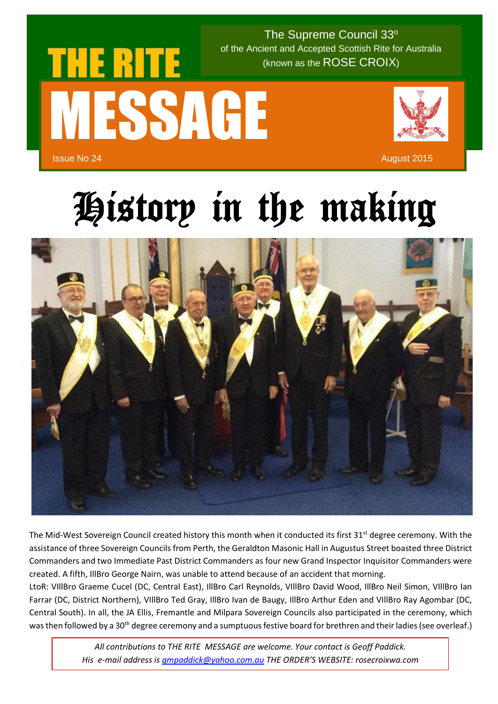

 $\sim$  (known as the ROSE CROIX) The Supreme Council 33° of the Ancient and Accepted Scottish Rite for Australia

## History in the making



The Mid-West Sovereign Council created history this month when it conducted its first  $31<sup>st</sup>$  degree ceremony. With the assistance of three Sovereign Councils from Perth, the Geraldton Masonic Hall in Augustus Street boasted three District Commanders and two Immediate Past District Commanders as four new Grand Inspector Inquisitor Commanders were created. A fifth, IllBro George Nairn, was unable to attend because of an accident that morning.

LtoR: VIllBro Graeme Cucel (DC, Central East), IllBro Carl Reynolds, VIllBro David Wood, IllBro Neil Simon, VIllBro Ian Farrar (DC, District Northern), VIllBro Ted Gray, IllBro Ivan de Baugy, IllBro Arthur Eden and VIllBro Ray Agombar (DC, Central South). In all, the JA Ellis, Fremantle and Milpara Sovereign Councils also participated in the ceremony, which was then followed by a 30<sup>th</sup> degree ceremony and a sumptuous festive board for brethren and their ladies (see overleaf.)

> *All contributions to THE RITE MESSAGE are welcome. Your contact is Geoff Paddick. His e-mail address i[s gmpaddick@yahoo.com.au](mailto:gmpaddick@yahoo.com.au) THE ORDER'S WEBSITE: rosecroixwa.com*